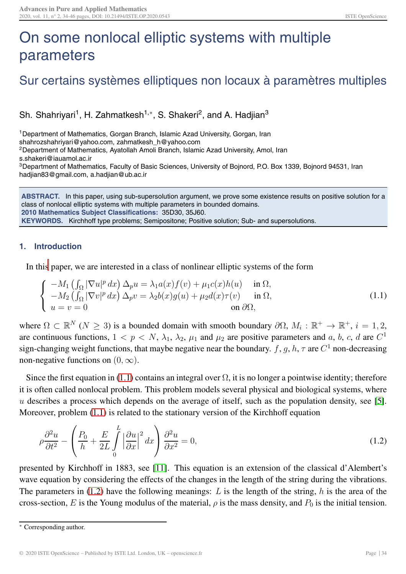## On some nonlocal elliptic systems with multiple parameters

## Sur certains systèmes elliptiques non locaux à paramètres multiples

Sh. Shahriyari<sup>1</sup>, H. Zahmatkesh<sup>1,\*</sup>, S. Shakeri<sup>2</sup>, and A. Hadjian<sup>3</sup>

<sup>1</sup> Department of Mathematics, Gorgan Branch, Islamic Azad University, Gorgan, Iran shahrozshahriyari@yahoo.com, zahmatkesh\_h@yahoo.com 2Department of Mathematics, Ayatollah Amoli Branch, Islamic Azad University, Amol, Iran s.shakeri@iauamol.ac.ir

3Department of Mathematics, Faculty of Basic Sciences, University of Bojnord, P.O. Box 1339, Bojnord 94531, Iran hadjian83@gmail.com, a.hadjian@ub.ac.ir

**ABSTRACT.** In this paper, using sub-supersolution argument, we prove some existence results on positive solution for a class of nonlocal elliptic systems with multiple parameters in bounded domains. **2010 Mathematics Subject Classifications:** 35D30, 35J60. **KEYWORDS.** Kirchhoff type problems; Semipositone; Positive solution; Sub- and supersolutions.

## **1. Introduction**

In thi[s](#page-0-0) paper, we are interested in a class of nonlinear elliptic systems of the form

<span id="page-0-1"></span>
$$
\begin{cases}\n-M_1 \left( \int_{\Omega} |\nabla u|^p dx \right) \Delta_p u = \lambda_1 a(x) f(v) + \mu_1 c(x) h(u) & \text{in } \Omega, \\
-M_2 \left( \int_{\Omega} |\nabla v|^p dx \right) \Delta_p v = \lambda_2 b(x) g(u) + \mu_2 d(x) \tau(v) & \text{in } \Omega, \\
u = v = 0 & \text{on } \partial \Omega,\n\end{cases}
$$
\n(1.1)

where  $\Omega \subset \mathbb{R}^N$  ( $N \geq 3$ ) is a bounded domain with smooth boundary  $\partial \Omega$ ,  $M_i : \mathbb{R}^+ \to \mathbb{R}^+, i = 1, 2,$ are continuous functions,  $1 < p < N$ ,  $\lambda_1$ ,  $\lambda_2$ ,  $\mu_1$  and  $\mu_2$  are positive parameters and a, b, c, d are  $C^1$ sign-changing weight functions, that maybe negative near the boundary. f, g, h,  $\tau$  are  $C^1$  non-decreasing non-negative functions on  $(0, \infty)$ .

Since the first equation in [\(1.1\)](#page-0-1) contains an integral over  $\Omega$ , it is no longer a pointwise identity; therefore it is often called nonlocal problem. This problem models several physical and biological systems, where u describes a process which depends on the average of itself, such as the population density, see [\[5\]](#page-12-0). Moreover, problem [\(1.1\)](#page-0-1) is related to the stationary version of the Kirchhoff equation

<span id="page-0-2"></span>
$$
\rho \frac{\partial^2 u}{\partial t^2} - \left( \frac{P_0}{h} + \frac{E}{2L} \int_0^L \left| \frac{\partial u}{\partial x} \right|^2 dx \right) \frac{\partial^2 u}{\partial x^2} = 0,
$$
\n(1.2)

presented by Kirchhoff in 1883, see [\[11\]](#page-12-1). This equation is an extension of the classical d'Alembert's wave equation by considering the effects of the changes in the length of the string during the vibrations. The parameters in  $(1.2)$  have the following meanings: L is the length of the string, h is the area of the cross-section, E is the Young modulus of the material,  $\rho$  is the mass density, and  $P_0$  is the initial tension.

<span id="page-0-0"></span><sup>∗</sup> Corresponding author.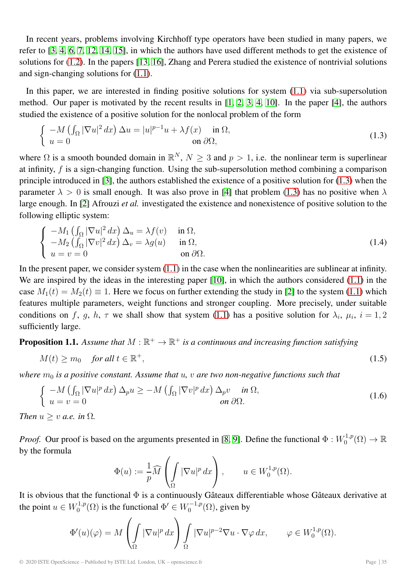In recent years, problems involving Kirchhoff type operators have been studied in many papers, we refer to [\[3,](#page-12-2) [4,](#page-12-3) [6,](#page-12-4) [7,](#page-12-5) [12,](#page-12-6) [14,](#page-12-7) [15\]](#page-12-8), in which the authors have used different methods to get the existence of solutions for [\(1.2\)](#page-0-2). In the papers [\[13,](#page-12-9) [16\]](#page-12-10), Zhang and Perera studied the existence of nontrivial solutions and sign-changing solutions for [\(1.1\)](#page-0-1).

In this paper, we are interested in finding positive solutions for system [\(1.1\)](#page-0-1) via sub-supersolution method. Our paper is motivated by the recent results in [\[1,](#page-11-0) [2,](#page-12-11) [3,](#page-12-2) [4,](#page-12-3) [10\]](#page-12-12). In the paper [\[4\]](#page-12-3), the authors studied the existence of a positive solution for the nonlocal problem of the form

<span id="page-1-0"></span>
$$
\begin{cases}\n-M\left(\int_{\Omega}|\nabla u|^{2} dx\right) \Delta u = |u|^{p-1}u + \lambda f(x) & \text{in } \Omega, \\
u = 0 & \text{on } \partial\Omega,\n\end{cases}
$$
\n(1.3)

where  $\Omega$  is a smooth bounded domain in  $\mathbb{R}^N$ ,  $N > 3$  and  $p > 1$ , i.e. the nonlinear term is superlinear at infinity, f is a sign-changing function. Using the sub-supersolution method combining a comparison principle introduced in [\[3\]](#page-12-2), the authors established the existence of a positive solution for [\(1.3\)](#page-1-0) when the parameter  $\lambda > 0$  is small enough. It was also prove in [\[4\]](#page-12-3) that problem [\(1.3\)](#page-1-0) has no positive when  $\lambda$ large enough. In [\[2\]](#page-12-11) Afrouzi *et al.* investigated the existence and nonexistence of positive solution to the following elliptic system:

$$
\begin{cases}\n-M_1 \left( \int_{\Omega} |\nabla u|^2 dx \right) \Delta_u = \lambda f(v) & \text{in } \Omega, \\
-M_2 \left( \int_{\Omega} |\nabla v|^2 dx \right) \Delta_v = \lambda g(u) & \text{in } \Omega, \\
u = v = 0 & \text{on } \partial \Omega.\n\end{cases}
$$
\n(1.4)

In the present paper, we consider system  $(1.1)$  in the case when the nonlinearities are sublinear at infinity. We are inspired by the ideas in the interesting paper [\[10\]](#page-12-12), in which the authors considered [\(1.1\)](#page-0-1) in the case  $M_1(t) = M_2(t) \equiv 1$ . Here we focus on further extending the study in [\[2\]](#page-12-11) to the system [\(1.1\)](#page-0-1) which features multiple parameters, weight functions and stronger coupling. More precisely, under suitable conditions on f, g, h,  $\tau$  we shall show that system [\(1.1\)](#page-0-1) has a positive solution for  $\lambda_i$ ,  $\mu_i$ ,  $i = 1, 2$ sufficiently large.

<span id="page-1-2"></span>**Proposition 1.1.** Assume that  $M : \mathbb{R}^+ \to \mathbb{R}^+$  is a continuous and increasing function satisfying

$$
M(t) \ge m_0 \quad \text{for all } t \in \mathbb{R}^+, \tag{1.5}
$$

*where*  $m_0$  *is a positive constant. Assume that*  $u$ ,  $v$  *are two non-negative functions such that* 

$$
\begin{cases}\n-M\left(\int_{\Omega}|\nabla u|^p\,dx\right)\Delta_p u \ge -M\left(\int_{\Omega}|\nabla v|^p\,dx\right)\Delta_p v & \text{in }\Omega, \\
u=v=0 & \text{on }\partial\Omega.\n\end{cases}
$$
\n(1.6)

*Then*  $u > v$  *a.e.* in  $\Omega$ *.* 

*Proof.* Our proof is based on the arguments presented in [\[8,](#page-12-13) [9\]](#page-12-14). Define the functional  $\Phi: W_0^{1,p}(\Omega) \to \mathbb{R}$ by the formula

<span id="page-1-1"></span>
$$
\Phi(u) := \frac{1}{p} \widehat{M} \left( \int_{\Omega} |\nabla u|^p \, dx \right), \qquad u \in W_0^{1,p}(\Omega).
$$

It is obvious that the functional  $\Phi$  is a continuously Gâteaux differentiable whose Gâteaux derivative at the point  $u \in W_0^{1,p}(\Omega)$  is the functional  $\Phi' \in W_0^{-1,p}(\Omega)$ , given by

$$
\Phi'(u)(\varphi) = M\left(\int_{\Omega} |\nabla u|^p dx\right) \int_{\Omega} |\nabla u|^{p-2} \nabla u \cdot \nabla \varphi dx, \qquad \varphi \in W_0^{1,p}(\Omega).
$$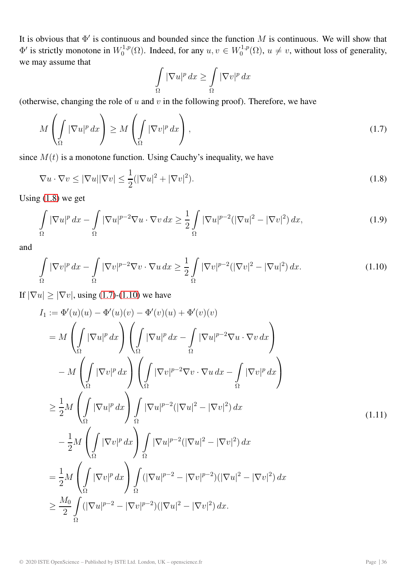It is obvious that  $\Phi'$  is continuous and bounded since the function M is continuous. We will show that  $\Phi'$  is strictly monotone in  $W_0^{1,p}(\Omega)$ . Indeed, for any  $u, v \in W_0^{1,p}(\Omega)$ ,  $u \neq v$ , without loss of generality, we may assume that

<span id="page-2-1"></span><span id="page-2-0"></span>
$$
\int_{\Omega} |\nabla u|^p dx \ge \int_{\Omega} |\nabla v|^p dx
$$

(otherwise, changing the role of  $u$  and  $v$  in the following proof). Therefore, we have

$$
M\left(\int_{\Omega} |\nabla u|^p dx\right) \ge M\left(\int_{\Omega} |\nabla v|^p dx\right),\tag{1.7}
$$

since  $M(t)$  is a monotone function. Using Cauchy's inequality, we have

$$
\nabla u \cdot \nabla v \le |\nabla u| |\nabla v| \le \frac{1}{2} (|\nabla u|^2 + |\nabla v|^2). \tag{1.8}
$$

Using [\(1.8\)](#page-2-0) we get

$$
\int_{\Omega} |\nabla u|^p dx - \int_{\Omega} |\nabla u|^{p-2} \nabla u \cdot \nabla v dx \ge \frac{1}{2} \int_{\Omega} |\nabla u|^{p-2} (|\nabla u|^2 - |\nabla v|^2) dx,\tag{1.9}
$$

and

<span id="page-2-2"></span>
$$
\int_{\Omega} |\nabla v|^p dx - \int_{\Omega} |\nabla v|^{p-2} \nabla v \cdot \nabla u dx \ge \frac{1}{2} \int_{\Omega} |\nabla v|^{p-2} (|\nabla v|^2 - |\nabla u|^2) dx.
$$
\n(1.10)

If  $|\nabla u| \ge |\nabla v|$ , using [\(1.7\)](#page-2-1)-[\(1.10\)](#page-2-2) we have

<span id="page-2-3"></span>
$$
I_1 := \Phi'(u)(u) - \Phi'(u)(v) - \Phi'(v)(u) + \Phi'(v)(v)
$$
  
\n
$$
= M \left( \int_{\Omega} |\nabla u|^p dx \right) \left( \int_{\Omega} |\nabla u|^p dx - \int_{\Omega} |\nabla u|^{p-2} \nabla u \cdot \nabla v dx \right)
$$
  
\n
$$
- M \left( \int_{\Omega} |\nabla v|^p dx \right) \left( \int_{\Omega} |\nabla v|^{p-2} \nabla v \cdot \nabla u dx - \int_{\Omega} |\nabla v|^p dx \right)
$$
  
\n
$$
\geq \frac{1}{2} M \left( \int_{\Omega} |\nabla u|^p dx \right) \int_{\Omega} |\nabla u|^{p-2} (|\nabla u|^2 - |\nabla v|^2) dx
$$
  
\n
$$
- \frac{1}{2} M \left( \int_{\Omega} |\nabla v|^p dx \right) \int_{\Omega} |\nabla u|^{p-2} (|\nabla u|^2 - |\nabla v|^2) dx
$$
  
\n
$$
= \frac{1}{2} M \left( \int_{\Omega} |\nabla v|^p dx \right) \int_{\Omega} (|\nabla u|^{p-2} - |\nabla v|^{p-2}) (|\nabla u|^2 - |\nabla v|^2) dx
$$
  
\n
$$
\geq \frac{M_0}{2} \int_{\Omega} (|\nabla u|^{p-2} - |\nabla v|^{p-2}) (|\nabla u|^2 - |\nabla v|^2) dx.
$$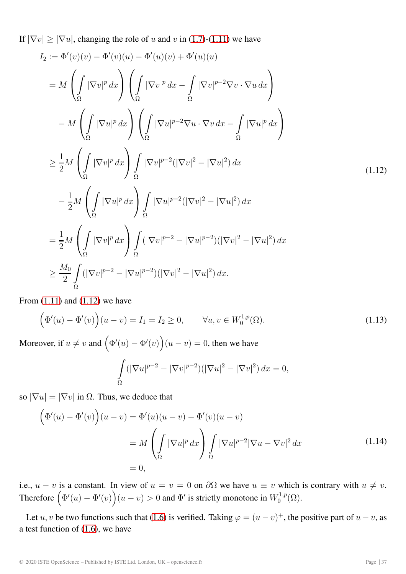If  $|\nabla v| \ge |\nabla u|$ , changing the role of u and v in [\(1.7\)](#page-2-1)-[\(1.11\)](#page-2-3) we have

$$
I_2 := \Phi'(v)(v) - \Phi'(v)(u) - \Phi'(u)(v) + \Phi'(u)(u)
$$
  
\n
$$
= M \left( \int_{\Omega} |\nabla v|^p dx \right) \left( \int_{\Omega} |\nabla v|^p dx - \int_{\Omega} |\nabla v|^{p-2} \nabla v \cdot \nabla u dx \right)
$$
  
\n
$$
- M \left( \int_{\Omega} |\nabla u|^p dx \right) \left( \int_{\Omega} |\nabla u|^{p-2} \nabla u \cdot \nabla v dx - \int_{\Omega} |\nabla u|^p dx \right)
$$
  
\n
$$
\geq \frac{1}{2} M \left( \int_{\Omega} |\nabla v|^p dx \right) \int_{\Omega} |\nabla v|^{p-2} (|\nabla v|^2 - |\nabla u|^2) dx
$$
  
\n
$$
- \frac{1}{2} M \left( \int_{\Omega} |\nabla u|^p dx \right) \int_{\Omega} |\nabla u|^{p-2} (|\nabla v|^2 - |\nabla u|^2) dx
$$
  
\n
$$
= \frac{1}{2} M \left( \int_{\Omega} |\nabla v|^p dx \right) \int_{\Omega} (|\nabla v|^{p-2} - |\nabla u|^{p-2}) (|\nabla v|^2 - |\nabla u|^2) dx
$$
  
\n
$$
\geq \frac{M_0}{2} \int_{\Omega} (|\nabla v|^{p-2} - |\nabla u|^{p-2}) (|\nabla v|^2 - |\nabla u|^2) dx
$$

From  $(1.11)$  and  $(1.12)$  we have

$$
(\Phi'(u) - \Phi'(v))(u - v) = I_1 = I_2 \ge 0, \qquad \forall u, v \in W_0^{1,p}(\Omega).
$$
 (1.13)

Moreover, if  $u \neq v$  and  $(\Phi'(u) - \Phi'(v))(u - v) = 0$ , then we have

<span id="page-3-1"></span><span id="page-3-0"></span>
$$
\int_{\Omega} (|\nabla u|^{p-2} - |\nabla v|^{p-2}) (|\nabla u|^2 - |\nabla v|^2) dx = 0,
$$

so  $|\nabla u| = |\nabla v|$  in  $\Omega$ . Thus, we deduce that

$$
\left(\Phi'(u) - \Phi'(v)\right)(u - v) = \Phi'(u)(u - v) - \Phi'(v)(u - v)
$$

$$
= M \left(\int_{\Omega} |\nabla u|^p dx\right) \int_{\Omega} |\nabla u|^{p-2} |\nabla u - \nabla v|^2 dx
$$
(1.14)
$$
= 0,
$$

i.e.,  $u - v$  is a constant. In view of  $u = v = 0$  on  $\partial\Omega$  we have  $u \equiv v$  which is contrary with  $u \neq v$ . Therefore  $(\Phi'(u) - \Phi'(v))(u - v) > 0$  and  $\Phi'$  is strictly monotone in  $W_0^{1,p}(\Omega)$ .

Let u, v be two functions such that [\(1.6\)](#page-1-1) is verified. Taking  $\varphi = (u - v)^{+}$ , the positive part of  $u - v$ , as a test function of [\(1.6\)](#page-1-1), we have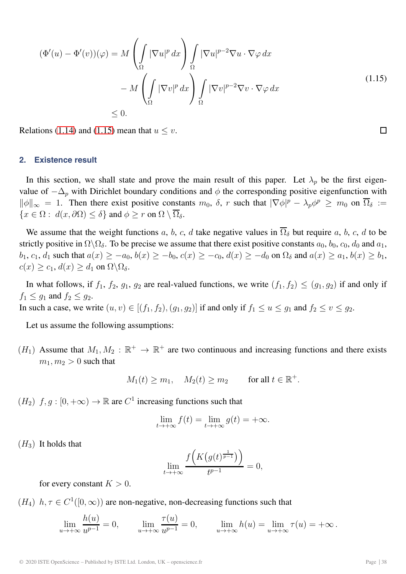$$
(H_3) \ \text{ It holds that}
$$
\n
$$
\lim_{t \to +\infty} \frac{f\left(K\left(g(t)^{\frac{1}{p-1}}\right)\right)}{t^{p-1}} = 0,
$$

for every constant  $K > 0$ .

 $(H_4)$   $h, \tau \in C^1([0,\infty))$  are non-negative, non-decreasing functions such that

$$
\lim_{u \to +\infty} \frac{h(u)}{u^{p-1}} = 0, \qquad \lim_{u \to +\infty} \frac{\tau(u)}{u^{p-1}} = 0, \qquad \lim_{u \to +\infty} h(u) = \lim_{u \to +\infty} \tau(u) = +\infty.
$$

© 2020 ISTE OpenScience – Published by ISTE Ltd. London, UK – openscience.fr Page | 38

 $(\Phi'(u) - \Phi'(v))(\varphi) = M$  $\mathcal{L}$  $\int |\nabla u|^p dx$ Ω  $\overline{I}$  $\int |\nabla u|^{p-2} \nabla u \cdot \nabla \varphi \, dx$ Ω  $- M$  $\sqrt{2}$  $\mathcal{L}$  $\mathbb{R}^2$ Ω  $|\nabla v|^p dx$  $\setminus$  $\overline{I}$  $\overline{\phantom{a}}$ Ω  $|\nabla v|^{p-2} \nabla v \cdot \nabla \varphi dx$  $\leq 0$ . (1.15) Relations [\(1.14\)](#page-3-1) and [\(1.15\)](#page-4-0) mean that  $u \leq v$ .

 $\setminus$ 

**2. Existence result**

value of  $-\Delta_p$  with Dirichlet boundary conditions and  $\phi$  the corresponding positive eigenfunction with  $\|\phi\|_{\infty} = 1$ . Then there exist positive constants  $m_0$ ,  $\delta$ , r such that  $|\nabla \phi|^p - \lambda_p \phi^p \ge m_0$  on  $\overline{\Omega}_{\delta} :=$  ${x \in \Omega : d(x, \partial \Omega) \leq \delta}$  and  $\phi \geq r$  on  $\Omega \setminus \overline{\Omega}_{\delta}$ . We assume that the weight functions a, b, c, d take negative values in  $\overline{\Omega}_{\delta}$  but require a, b, c, d to be

In this section, we shall state and prove the main result of this paper. Let  $\lambda_p$  be the first eigen-

strictly positive in  $\Omega \backslash \Omega_{\delta}$ . To be precise we assume that there exist positive constants  $a_0$ ,  $b_0$ ,  $c_0$ ,  $d_0$  and  $a_1$ ,  $b_1, c_1, d_1$  such that  $a(x) \ge -a_0, b(x) \ge -b_0, c(x) \ge -c_0, d(x) \ge -d_0$  on  $\Omega_\delta$  and  $a(x) \ge a_1, b(x) \ge b_1$ ,  $c(x) \geq c_1, d(x) \geq d_1$  on  $\Omega \backslash \Omega_{\delta}$ .

In what follows, if  $f_1$ ,  $f_2$ ,  $g_1$ ,  $g_2$  are real-valued functions, we write  $(f_1, f_2) \leq (g_1, g_2)$  if and only if  $f_1 \leq g_1$  and  $f_2 \leq g_2$ .

In such a case, we write  $(u, v) \in [(f_1, f_2), (g_1, g_2)]$  if and only if  $f_1 \le u \le g_1$  and  $f_2 \le v \le g_2$ .

Let us assume the following assumptions:

 $(H_1)$  Assume that  $M_1, M_2 : \mathbb{R}^+ \to \mathbb{R}^+$  are two continuous and increasing functions and there exists  $m_1, m_2 > 0$  such that

$$
M_1(t) \ge m_1
$$
,  $M_2(t) \ge m_2$  for all  $t \in \mathbb{R}^+$ .

 $(H_2)$   $f, g : [0, +\infty) \to \mathbb{R}$  are  $C^1$  increasing functions such that

 $\sqrt{2}$ 

$$
\lim_{t \to +\infty} f(t) = \lim_{t \to +\infty} g(t) = +\infty.
$$

<span id="page-4-0"></span> $\Box$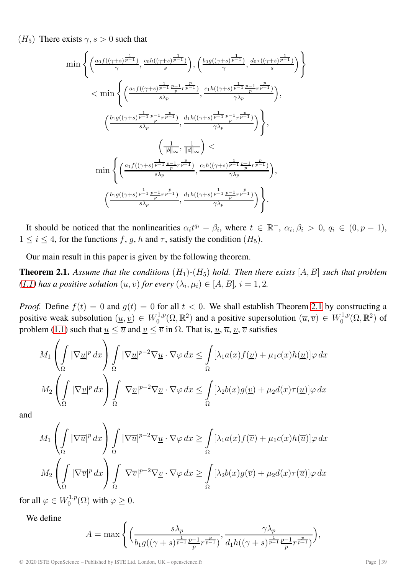$(H_5)$  There exists  $\gamma$ ,  $s > 0$  such that

$$
\min\left\{\left(\frac{a_0f((\gamma+s)^{\frac{1}{p-1}})}{\gamma},\frac{c_0h((\gamma+s)^{\frac{1}{p-1}})}{s}\right),\left(\frac{b_0g((\gamma+s)^{\frac{1}{p-1}})}{\gamma},\frac{d_0\tau((\gamma+s)^{\frac{1}{p-1}})}{s}\right)\right\}
$$
\n
$$
<\min\left\{\left(\frac{a_1f((\gamma+s)^{\frac{1}{p-1}\frac{p-1}{p}r^{\frac{p}{p-1}}})}{s\lambda_p},\frac{c_1h((\gamma+s)^{\frac{1}{p-1}\frac{p-1}{p}r^{\frac{p}{p-1}}})}{\gamma\lambda_p}\right),\left(\frac{b_1g((\gamma+s)^{\frac{1}{p-1}\frac{p-1}{p}r^{\frac{p}{p-1}}})}{s\lambda_p},\frac{d_1h((\gamma+s)^{\frac{1}{p-1}\frac{p-1}{p}r^{\frac{p}{p-1}}})}{\gamma\lambda_p}\right)\right\},\left(\frac{1}{\|b\|_{\infty}},\frac{1}{\|d\|_{\infty}}\right)<\min\left\{\left(\frac{a_1f((\gamma+s)^{\frac{1}{p-1}\frac{p-1}{p}r^{\frac{p}{p-1}}})}{s\lambda_p},\frac{c_1h((\gamma+s)^{\frac{1}{p-1}\frac{p-1}{p}r^{\frac{p}{p-1}}})}{\gamma\lambda_p}\right),\left(\frac{b_1g((\gamma+s)^{\frac{1}{p-1}\frac{p-1}{p}r^{\frac{p}{p-1}}})}{s\lambda_p},\frac{d_1h((\gamma+s)^{\frac{1}{p-1}\frac{p-1}{p}r^{\frac{p}{p-1}}})}{\gamma\lambda_p}\right)\right\}.
$$

It should be noticed that the nonlinearities  $\alpha_i t^{q_i} - \beta_i$ , where  $t \in \mathbb{R}^+$ ,  $\alpha_i, \beta_i > 0$ ,  $q_i \in (0, p - 1)$ ,  $1 \le i \le 4$ , for the functions f, g, h and  $\tau$ , satisfy the condition  $(H_5)$ .

Our main result in this paper is given by the following theorem.

<span id="page-5-0"></span>**Theorem 2.1.** Assume that the conditions  $(H_1)$ - $(H_5)$  hold. Then there exists  $[A, B]$  such that problem *[\(1.1\)](#page-0-1)* has a positive solution  $(u, v)$  for every  $(\lambda_i, \mu_i) \in [A, B]$ ,  $i = 1, 2$ .

*Proof.* Define  $f(t)=0$  and  $g(t)=0$  for all  $t < 0$ . We shall establish Theorem [2.1](#page-5-0) by constructing a positive weak subsolution  $(\underline{u}, \underline{v}) \in W_0^{1,p}(\Omega, \mathbb{R}^2)$  and a positive supersolution  $(\overline{u}, \overline{v}) \in W_0^{1,p}(\Omega, \mathbb{R}^2)$  of problem [\(1.1\)](#page-0-1) such that  $\underline{u} \le \overline{u}$  and  $\underline{v} \le \overline{v}$  in  $\Omega$ . That is,  $\underline{u}$ ,  $\overline{u}$ ,  $\underline{v}$ ,  $\overline{v}$  satisfies

$$
M_1 \left( \int_{\Omega} |\nabla \underline{u}|^p dx \right) \int_{\Omega} |\nabla \underline{u}|^{p-2} \nabla \underline{u} \cdot \nabla \varphi dx \leq \int_{\Omega} [\lambda_1 a(x) f(\underline{v}) + \mu_1 c(x) h(\underline{u})] \varphi dx
$$
  

$$
M_2 \left( \int_{\Omega} |\nabla \underline{v}|^p dx \right) \int_{\Omega} |\nabla \underline{v}|^{p-2} \nabla \underline{v} \cdot \nabla \varphi dx \leq \int_{\Omega} [\lambda_2 b(x) g(\underline{v}) + \mu_2 d(x) \tau(\underline{u})] \varphi dx
$$

and

$$
M_1 \left( \int_{\Omega} |\nabla \overline{u}|^p dx \right) \int_{\Omega} |\nabla \overline{u}|^{p-2} \nabla \underline{u} \cdot \nabla \varphi dx \ge \int_{\Omega} [\lambda_1 a(x) f(\overline{v}) + \mu_1 c(x) h(\overline{u})] \varphi dx
$$

$$
M_2 \left( \int_{\Omega} |\nabla \overline{v}|^p dx \right) \int_{\Omega} |\nabla \overline{v}|^{p-2} \nabla \underline{v} \cdot \nabla \varphi dx \ge \int_{\Omega} [\lambda_2 b(x) g(\overline{v}) + \mu_2 d(x) \tau(\overline{u})] \varphi dx
$$

for all  $\varphi \in W_0^{1,p}(\Omega)$  with  $\varphi \geq 0$ .

We define

$$
A = \max \left\{ \left( \frac{s\lambda_p}{b_1 g((\gamma + s)^{\frac{1}{p-1}} \frac{p-1}{p} r^{\frac{p}{p-1}})} , \frac{\gamma \lambda_p}{d_1 h((\gamma + s)^{\frac{1}{p-1}} \frac{p-1}{p} r^{\frac{p}{p-1}})} \right), \right\}
$$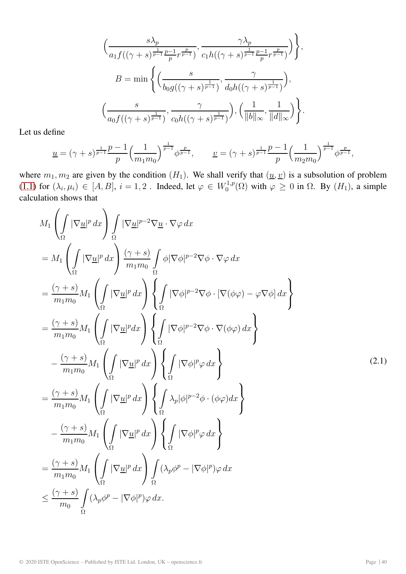$$
\left(\frac{s\lambda_p}{a_1f((\gamma+s)^{\frac{1}{p-1}}\frac{p-1}{p}r^{\frac{p}{p-1}})}, \frac{\gamma\lambda_p}{c_1h((\gamma+s)^{\frac{1}{p-1}}\frac{p-1}{p}r^{\frac{p}{p-1}})}\right)\Bigg\},\newline B = \min\left\{\left(\frac{s}{b_0g((\gamma+s)^{\frac{1}{p-1}})}, \frac{\gamma}{d_0h((\gamma+s)^{\frac{1}{p-1}})}\right),\newline \left(\frac{s}{a_0f((\gamma+s)^{\frac{1}{p-1}})}, \frac{\gamma}{c_0h((\gamma+s)^{\frac{1}{p-1}})}\right), \left(\frac{1}{\|b\|_{\infty}}, \frac{1}{\|d\|_{\infty}}\right)\right\}.
$$

Let us define

$$
\underline{u} = (\gamma + s)^{\frac{1}{p-1}} \frac{p-1}{p} \left(\frac{1}{m_1 m_0}\right)^{\frac{1}{p-1}} \phi^{\frac{p}{p-1}}, \qquad \underline{v} = (\gamma + s)^{\frac{1}{p-1}} \frac{p-1}{p} \left(\frac{1}{m_2 m_0}\right)^{\frac{1}{p-1}} \phi^{\frac{p}{p-1}},
$$

where  $m_1, m_2$  are given by the condition  $(H_1)$ . We shall verify that  $(\underline{u}, \underline{v})$  is a subsolution of problem [\(1.1\)](#page-0-1) for  $(\lambda_i, \mu_i) \in [A, B]$ ,  $i = 1, 2$ . Indeed, let  $\varphi \in W_0^{1,p}(\Omega)$  with  $\varphi \ge 0$  in  $\Omega$ . By  $(H_1)$ , a simple calculation shows that

$$
M_{1}\left(\int_{\Omega}|\nabla\underline{u}|^{p}dx\right)\int_{\Omega}|\nabla\underline{u}|^{p-2}\nabla\underline{u}\cdot\nabla\varphi dx
$$
\n
$$
= M_{1}\left(\int_{\Omega}|\nabla\underline{u}|^{p}dx\right)\frac{(\gamma+s)}{m_{1}m_{0}}\int_{\Omega}\phi|\nabla\phi|^{p-2}\nabla\phi\cdot\nabla\varphi dx
$$
\n
$$
= \frac{(\gamma+s)}{m_{1}m_{0}}M_{1}\left(\int_{\Omega}|\nabla\underline{u}|^{p}dx\right)\left\{\int_{\Omega}|\nabla\phi|^{p-2}\nabla\phi\cdot[\nabla(\phi\varphi)-\varphi\nabla\phi] dx\right\}
$$
\n
$$
= \frac{(\gamma+s)}{m_{1}m_{0}}M_{1}\left(\int_{\Omega}|\nabla\underline{u}|^{p}dx\right)\left\{\int_{\Omega}|\nabla\phi|^{p-2}\nabla\phi\cdot\nabla(\phi\varphi) dx\right\}
$$
\n
$$
- \frac{(\gamma+s)}{m_{1}m_{0}}M_{1}\left(\int_{\Omega}|\nabla\underline{u}|^{p}dx\right)\left\{\int_{\Omega}|\nabla\phi|^{p-2}\phi\cdot(\phi\varphi) dx\right\}
$$
\n
$$
= \frac{(\gamma+s)}{m_{1}m_{0}}M_{1}\left(\int_{\Omega}|\nabla\underline{u}|^{p}dx\right)\left\{\int_{\Omega}\lambda_{p}|\phi|^{p-2}\phi\cdot(\phi\varphi) dx\right\}
$$
\n
$$
- \frac{(\gamma+s)}{m_{1}m_{0}}M_{1}\left(\int_{\Omega}|\nabla\underline{u}|^{p}dx\right)\left\{\int_{\Omega}|\nabla\phi|^{p}\varphi dx\right\}
$$
\n
$$
= \frac{(\gamma+s)}{m_{1}m_{0}}M_{1}\left(\int_{\Omega}|\nabla\underline{u}|^{p}dx\right)\int_{\Omega}(\lambda_{p}\phi^{p}-|\nabla\phi|^{p})\varphi dx
$$
\n
$$
\leq \frac{(\gamma+s)}{m_{0}}\int_{\Omega}(\lambda_{p}\phi^{p}-|\nabla\phi|^{p})\varphi dx.
$$
\n(11)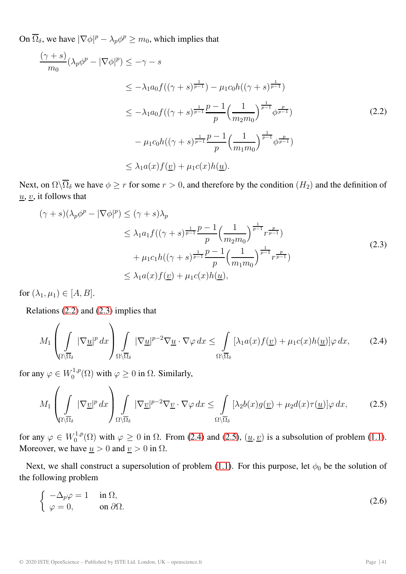On  $\overline{\Omega}_{\delta}$ , we have  $|\nabla \phi|^p - \lambda_p \phi^p \ge m_0$ , which implies that

<span id="page-7-0"></span>
$$
\frac{(\gamma + s)}{m_0} (\lambda_p \phi^p - |\nabla \phi|^p) \le -\gamma - s
$$
\n
$$
\le -\lambda_1 a_0 f((\gamma + s)^{\frac{1}{p-1}}) - \mu_1 c_0 h((\gamma + s)^{\frac{1}{p-1}})
$$
\n
$$
\le -\lambda_1 a_0 f((\gamma + s)^{\frac{1}{p-1}} \frac{p-1}{p} \left(\frac{1}{m_2 m_0}\right)^{\frac{1}{p-1}} \phi^{\frac{p}{p-1}})
$$
\n
$$
- \mu_1 c_0 h((\gamma + s)^{\frac{1}{p-1}} \frac{p-1}{p} \left(\frac{1}{m_1 m_0}\right)^{\frac{1}{p-1}} \phi^{\frac{p}{p-1}})
$$
\n
$$
\le \lambda_1 a(x) f(\underline{v}) + \mu_1 c(x) h(\underline{u}).
$$
\n(2.2)

Next, on  $\Omega\setminus\overline{\Omega}_\delta$  we have  $\phi \geq r$  for some  $r > 0$ , and therefore by the condition  $(H_2)$  and the definition of  $\underline{u}, \underline{v}$ , it follows that

<span id="page-7-1"></span>
$$
(\gamma + s)(\lambda_p \phi^p - |\nabla \phi|^p) \leq (\gamma + s)\lambda_p
$$
  
\n
$$
\leq \lambda_1 a_1 f((\gamma + s)^{\frac{1}{p-1}} \frac{p-1}{p} \left(\frac{1}{m_2 m_0}\right)^{\frac{1}{p-1}} r^{\frac{p}{p-1}})
$$
  
\n
$$
+ \mu_1 c_1 h((\gamma + s)^{\frac{1}{p-1}} \frac{p-1}{p} \left(\frac{1}{m_1 m_0}\right)^{\frac{1}{p-1}} r^{\frac{p}{p-1}})
$$
  
\n
$$
\leq \lambda_1 a(x) f(\underline{v}) + \mu_1 c(x) h(\underline{u}),
$$
\n(2.3)

for  $(\lambda_1, \mu_1) \in [A, B]$ .

Relations [\(2.2\)](#page-7-0) and [\(2.3\)](#page-7-1) implies that

<span id="page-7-2"></span>
$$
M_1\left(\int\limits_{\Omega\setminus\overline{\Omega}_\delta}|\nabla\underline{u}|^p\,dx\right)\int\limits_{\Omega\setminus\overline{\Omega}_\delta}|\nabla\underline{u}|^{p-2}\nabla\underline{u}\cdot\nabla\varphi\,dx\leq\int\limits_{\Omega\setminus\overline{\Omega}_\delta}[\lambda_1a(x)f(\underline{v})+\mu_1c(x)h(\underline{u})]\varphi\,dx,\tag{2.4}
$$

for any  $\varphi \in W_0^{1,p}(\Omega)$  with  $\varphi \geq 0$  in  $\Omega$ . Similarly,

<span id="page-7-3"></span>
$$
M_1\left(\int\limits_{\Omega\setminus\overline{\Omega}_\delta} |\nabla \underline{v}|^p \, dx\right) \int\limits_{\Omega\setminus\overline{\Omega}_\delta} |\nabla \underline{v}|^{p-2} \nabla \underline{v} \cdot \nabla \varphi \, dx \le \int\limits_{\Omega\setminus\overline{\Omega}_\delta} [\lambda_2 b(x) g(\underline{v}) + \mu_2 d(x) \tau(\underline{u})] \varphi \, dx,\tag{2.5}
$$

for any  $\varphi \in W_0^{1,p}(\Omega)$  with  $\varphi \ge 0$  in  $\Omega$ . From [\(2.4\)](#page-7-2) and [\(2.5\)](#page-7-3),  $(\underline{u}, \underline{v})$  is a subsolution of problem [\(1.1\)](#page-0-1). Moreover, we have  $\underline{u} > 0$  and  $\underline{v} > 0$  in  $\Omega$ .

Next, we shall construct a supersolution of problem [\(1.1\)](#page-0-1). For this purpose, let  $\phi_0$  be the solution of the following problem

$$
\begin{cases}\n-\Delta_p \varphi = 1 & \text{in } \Omega, \\
\varphi = 0, & \text{on } \partial \Omega.\n\end{cases}
$$
\n(2.6)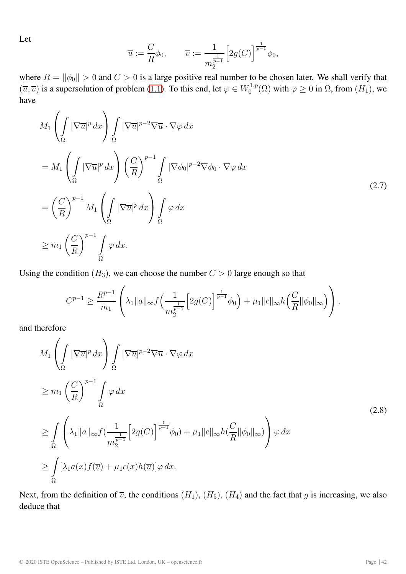Let

$$
\overline{u} := \frac{C}{R} \phi_0, \qquad \overline{v} := \frac{1}{m_2^{\frac{1}{p-1}}} \Big[ 2g(C) \Big]^{\frac{1}{p-1}} \phi_0,
$$

where  $R = ||\phi_0|| > 0$  and  $C > 0$  is a large positive real number to be chosen later. We shall verify that  $(\overline{u}, \overline{v})$  is a supersolution of problem [\(1.1\)](#page-0-1). To this end, let  $\varphi \in W_0^{1,p}(\Omega)$  with  $\varphi \ge 0$  in  $\Omega$ , from  $(H_1)$ , we have

$$
M_1 \left( \int_{\Omega} |\nabla \overline{u}|^p dx \right) \int_{\Omega} |\nabla \overline{u}|^{p-2} \nabla \overline{u} \cdot \nabla \varphi dx
$$
  
\n
$$
= M_1 \left( \int_{\Omega} |\nabla \overline{u}|^p dx \right) \left( \frac{C}{R} \right)^{p-1} \int_{\Omega} |\nabla \phi_0|^{p-2} \nabla \phi_0 \cdot \nabla \varphi dx
$$
  
\n
$$
= \left( \frac{C}{R} \right)^{p-1} M_1 \left( \int_{\Omega} |\nabla \overline{u}|^p dx \right) \int_{\Omega} \varphi dx
$$
  
\n
$$
\geq m_1 \left( \frac{C}{R} \right)^{p-1} \int_{\Omega} \varphi dx.
$$
\n(2.7)

Using the condition  $(H_3)$ , we can choose the number  $C > 0$  large enough so that

<span id="page-8-0"></span>
$$
C^{p-1} \ge \frac{R^{p-1}}{m_1} \left( \lambda_1 \|a\|_{\infty} f\left(\frac{1}{m_2^{\frac{1}{p-1}}} \left[2g(C)\right]^{\frac{1}{p-1}} \phi_0\right) + \mu_1 \|c\|_{\infty} h\left(\frac{C}{R} \|\phi_0\|_{\infty}\right) \right),
$$

and therefore

$$
M_{1}\left(\int_{\Omega}|\nabla\overline{u}|^{p} dx\right) \int_{\Omega}|\nabla\overline{u}|^{p-2}\nabla\overline{u}\cdot\nabla\varphi dx
$$
  
\n
$$
\geq m_{1}\left(\frac{C}{R}\right)^{p-1} \int_{\Omega} \varphi dx
$$
  
\n
$$
\geq \int_{\Omega} \left(\lambda_{1}||a||_{\infty}f\left(\frac{1}{m_{2}^{\frac{1}{p-1}}}\left[2g(C)\right]^{\frac{1}{p-1}}\phi_{0}\right) + \mu_{1}||c||_{\infty}h\left(\frac{C}{R}||\phi_{0}||_{\infty}\right)\right) \varphi dx
$$
  
\n
$$
\geq \int_{\Omega} \left[\lambda_{1}a(x)f(\overline{v}) + \mu_{1}c(x)h(\overline{u})]\varphi dx.
$$
\n(2.8)

Next, from the definition of  $\overline{v}$ , the conditions  $(H_1)$ ,  $(H_5)$ ,  $(H_4)$  and the fact that g is increasing, we also deduce that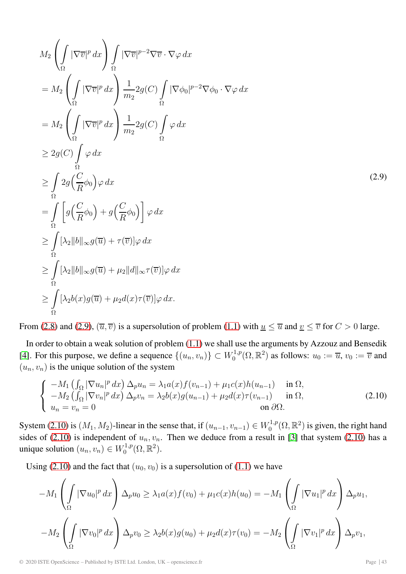<span id="page-9-0"></span>
$$
M_2 \left( \int_{\Omega} |\nabla \overline{v}|^p dx \right) \int_{\Omega} |\nabla \overline{v}|^{p-2} \nabla \overline{v} \cdot \nabla \varphi dx
$$
  
\n
$$
= M_2 \left( \int_{\Omega} |\nabla \overline{v}|^p dx \right) \frac{1}{m_2} 2g(C) \int_{\Omega} |\nabla \phi_0|^{p-2} \nabla \phi_0 \cdot \nabla \varphi dx
$$
  
\n
$$
= M_2 \left( \int_{\Omega} |\nabla \overline{v}|^p dx \right) \frac{1}{m_2} 2g(C) \int_{\Omega} \varphi dx
$$
  
\n
$$
\geq 2g(C) \int_{\Omega} \varphi dx
$$
  
\n
$$
\geq \int_{\Omega} 2g(\frac{C}{R}\phi_0) \varphi dx
$$
  
\n
$$
= \int_{\Omega} \left[ g(\frac{C}{R}\phi_0) + g(\frac{C}{R}\phi_0) \right] \varphi dx
$$
  
\n
$$
\geq \int_{\Omega} |\lambda_2||b||_{\infty} g(\overline{u}) + \tau(\overline{v})] \varphi dx
$$
  
\n
$$
\geq \int_{\Omega} |\lambda_2||b||_{\infty} g(\overline{u}) + \mu_2 ||d||_{\infty} \tau(\overline{v})] \varphi dx
$$
  
\n
$$
\geq \int_{\Omega} |\lambda_2|b(x) g(\overline{u}) + \mu_2 d(x) \tau(\overline{v})] \varphi dx.
$$
 (2.9)

From [\(2.8\)](#page-8-0) and [\(2.9\)](#page-9-0),  $(\overline{u}, \overline{v})$  is a supersolution of problem [\(1.1\)](#page-0-1) with  $\underline{u} \le \overline{u}$  and  $\underline{v} \le \overline{v}$  for  $C > 0$  large.

In order to obtain a weak solution of problem [\(1.1\)](#page-0-1) we shall use the arguments by Azzouz and Bensedik [\[4\]](#page-12-3). For this purpose, we define a sequence  $\{(u_n, v_n)\} \subset W_0^{1,p}(\Omega, \mathbb{R}^2)$  as follows:  $u_0 := \overline{u}$ ,  $v_0 := \overline{v}$  and  $(u_n, v_n)$  is the unique solution of the system

<span id="page-9-1"></span>
$$
\begin{cases}\n-M_1 \left(\int_{\Omega} |\nabla u_n|^p dx\right) \Delta_p u_n = \lambda_1 a(x) f(v_{n-1}) + \mu_1 c(x) h(u_{n-1}) & \text{in } \Omega, \\
-M_2 \left(\int_{\Omega} |\nabla v_n|^p dx\right) \Delta_p v_n = \lambda_2 b(x) g(u_{n-1}) + \mu_2 d(x) \tau(v_{n-1}) & \text{in } \Omega, \\
u_n = v_n = 0 & \text{on } \partial \Omega.\n\end{cases}
$$
\n(2.10)

System [\(2.10\)](#page-9-1) is  $(M_1, M_2)$ -linear in the sense that, if  $(u_{n-1}, v_{n-1}) \in W_0^{1,p}(\Omega, \mathbb{R}^2)$  is given, the right hand sides of [\(2.10\)](#page-9-1) is independent of  $u_n, v_n$ . Then we deduce from a result in [\[3\]](#page-12-2) that system (2.10) has a unique solution  $(u_n, v_n) \in W_0^{1,p}(\Omega, \mathbb{R}^2)$ .

Using [\(2.10\)](#page-9-1) and the fact that  $(u_0, v_0)$  is a supersolution of [\(1.1\)](#page-0-1) we have

$$
-M_1 \left(\int_{\Omega} |\nabla u_0|^p dx\right) \Delta_p u_0 \ge \lambda_1 a(x) f(v_0) + \mu_1 c(x) h(u_0) = -M_1 \left(\int_{\Omega} |\nabla u_1|^p dx\right) \Delta_p u_1,
$$
  

$$
-M_2 \left(\int_{\Omega} |\nabla v_0|^p dx\right) \Delta_p v_0 \ge \lambda_2 b(x) g(u_0) + \mu_2 d(x) \tau(v_0) = -M_2 \left(\int_{\Omega} |\nabla v_1|^p dx\right) \Delta_p v_1,
$$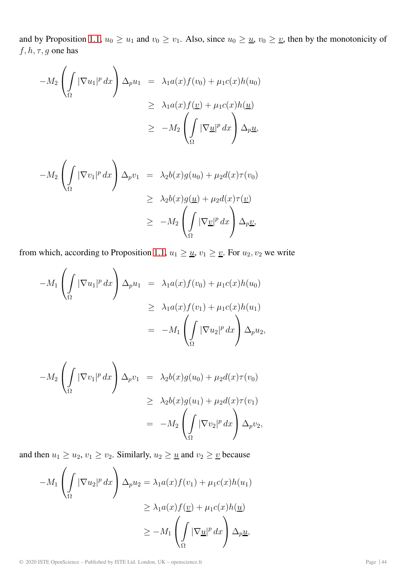and by Proposition [1.1,](#page-1-2)  $u_0 \ge u_1$  and  $v_0 \ge v_1$ . Also, since  $u_0 \ge u$ ,  $v_0 \ge v_1$ , then by the monotonicity of  $f, h, \tau, g$  one has

$$
-M_2 \left( \int_{\Omega} |\nabla u_1|^p dx \right) \Delta_p u_1 = \lambda_1 a(x) f(v_0) + \mu_1 c(x) h(u_0)
$$
  
\n
$$
\geq \lambda_1 a(x) f(\underline{v}) + \mu_1 c(x) h(\underline{u})
$$
  
\n
$$
\geq -M_2 \left( \int_{\Omega} |\nabla \underline{u}|^p dx \right) \Delta_p \underline{u},
$$

$$
-M_2 \left( \int_{\Omega} |\nabla v_1|^p dx \right) \Delta_p v_1 = \lambda_2 b(x) g(u_0) + \mu_2 d(x) \tau(v_0)
$$
  
\n
$$
\geq \lambda_2 b(x) g(\underline{u}) + \mu_2 d(x) \tau(\underline{v})
$$
  
\n
$$
\geq -M_2 \left( \int_{\Omega} |\nabla \underline{v}|^p dx \right) \Delta_p \underline{v},
$$

from which, according to Proposition [1.1,](#page-1-2)  $u_1 \geq \underline{u}$ ,  $v_1 \geq \underline{v}$ . For  $u_2, v_2$  we write

$$
-M_1 \left(\int_{\Omega} |\nabla u_1|^p dx\right) \Delta_p u_1 = \lambda_1 a(x) f(v_0) + \mu_1 c(x) h(u_0)
$$
  
\n
$$
\geq \lambda_1 a(x) f(v_1) + \mu_1 c(x) h(u_1)
$$
  
\n
$$
= -M_1 \left(\int_{\Omega} |\nabla u_2|^p dx\right) \Delta_p u_2,
$$

$$
-M_2 \left(\int_{\Omega} |\nabla v_1|^p dx\right) \Delta_p v_1 = \lambda_2 b(x)g(u_0) + \mu_2 d(x)\tau(v_0)
$$
  
\n
$$
\geq \lambda_2 b(x)g(u_1) + \mu_2 d(x)\tau(v_1)
$$
  
\n
$$
= -M_2 \left(\int_{\Omega} |\nabla v_2|^p dx\right) \Delta_p v_2,
$$

and then  $u_1 \ge u_2, v_1 \ge v_2$ . Similarly,  $u_2 \ge \underline{u}$  and  $v_2 \ge \underline{v}$  because

$$
-M_1 \left( \int_{\Omega} |\nabla u_2|^p dx \right) \Delta_p u_2 = \lambda_1 a(x) f(v_1) + \mu_1 c(x) h(u_1)
$$
  
\n
$$
\geq \lambda_1 a(x) f(\underline{v}) + \mu_1 c(x) h(\underline{u})
$$
  
\n
$$
\geq -M_1 \left( \int_{\Omega} |\nabla \underline{u}|^p dx \right) \Delta_p \underline{u},
$$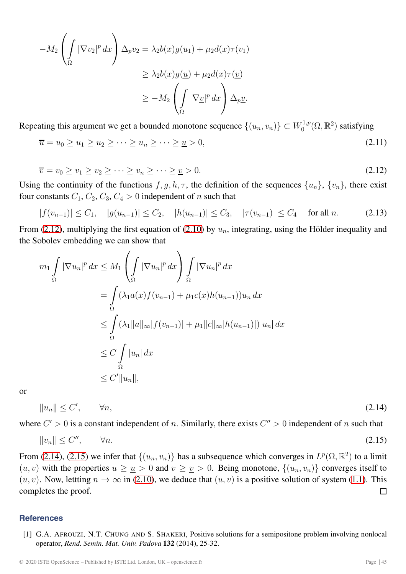$$
-M_2 \left(\int_{\Omega} |\nabla v_2|^p dx\right) \Delta_p v_2 = \lambda_2 b(x)g(u_1) + \mu_2 d(x)\tau(v_1)
$$
  
\n
$$
\geq \lambda_2 b(x)g(\underline{u}) + \mu_2 d(x)\tau(\underline{v})
$$
  
\n
$$
\geq -M_2 \left(\int_{\Omega} |\nabla \underline{v}|^p dx\right) \Delta_p \underline{v}.
$$

Repeating this argument we get a bounded monotone sequence  $\{(u_n, v_n)\} \subset W_0^{1,p}(\Omega, \mathbb{R}^2)$  satisfying

$$
\overline{u} = u_0 \ge u_1 \ge u_2 \ge \dots \ge u_n \ge \dots \ge \underline{u} > 0,\tag{2.11}
$$

<span id="page-11-1"></span>
$$
\overline{v} = v_0 \ge v_1 \ge v_2 \ge \dots \ge v_n \ge \dots \ge \underline{v} > 0. \tag{2.12}
$$

Using the continuity of the functions  $f, g, h, \tau$ , the definition of the sequences  $\{u_n\}$ ,  $\{v_n\}$ , there exist four constants  $C_1$ ,  $C_2$ ,  $C_3$ ,  $C_4 > 0$  independent of n such that

$$
|f(v_{n-1})| \le C_1, \quad |g(u_{n-1})| \le C_2, \quad |h(u_{n-1})| \le C_3, \quad |\tau(v_{n-1})| \le C_4 \quad \text{for all } n. \tag{2.13}
$$

From [\(2.12\)](#page-11-1), multiplying the first equation of [\(2.10\)](#page-9-1) by  $u_n$ , integrating, using the Hölder inequality and the Sobolev embedding we can show that

$$
m_1 \int_{\Omega} |\nabla u_n|^p dx \le M_1 \left( \int_{\Omega} |\nabla u_n|^p dx \right) \int_{\Omega} |\nabla u_n|^p dx
$$
  
= 
$$
\int_{\Omega} (\lambda_1 a(x) f(v_{n-1}) + \mu_1 c(x) h(u_{n-1})) u_n dx
$$
  

$$
\le \int_{\Omega} (\lambda_1 \|a\|_{\infty} |f(v_{n-1})| + \mu_1 \|c\|_{\infty} |h(u_{n-1})|) |u_n| dx
$$
  

$$
\le C \int_{\Omega} |u_n| dx
$$
  

$$
\le C' \|u_n\|,
$$

<span id="page-11-2"></span>or

<span id="page-11-3"></span>
$$
||u_n|| \le C', \qquad \forall n,
$$
\n
$$
(2.14)
$$

where  $C' > 0$  is a constant independent of n. Similarly, there exists  $C'' > 0$  independent of n such that

$$
||v_n|| \le C'', \qquad \forall n. \tag{2.15}
$$

From [\(2.14\)](#page-11-2), [\(2.15\)](#page-11-3) we infer that  $\{(u_n, v_n)\}\$  has a subsequence which converges in  $L^p(\Omega, \mathbb{R}^2)$  to a limit  $(u, v)$  with the properties  $u \ge u > 0$  and  $v \ge v > 0$ . Being monotone,  $\{(u_n, v_n)\}$  converges itself to  $(u, v)$ . Now, lettting  $n \to \infty$  in [\(2.10\)](#page-9-1), we deduce that  $(u, v)$  is a positive solution of system [\(1.1\)](#page-0-1). This completes the proof. П

## <span id="page-11-0"></span>**References**

[1] G.A. AFROUZI, N.T. CHUNG AND S. SHAKERI, Positive solutions for a semipositone problem involving nonlocal operator, *Rend. Semin. Mat. Univ. Padova* **132** (2014), 25-32.